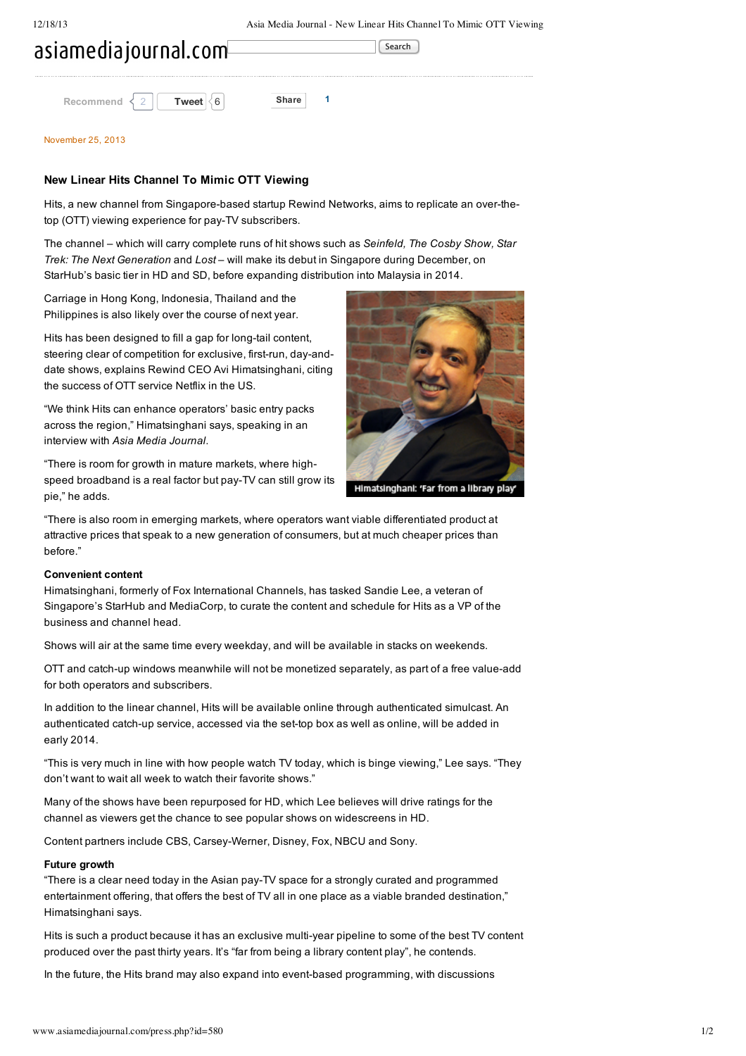| asiamediajournal.com <sup>[</sup> |       |       |  |  |
|-----------------------------------|-------|-------|--|--|
|                                   |       |       |  |  |
| Recommend                         | Tweet | Share |  |  |

#### [November](http://www.asiamediajournal.com/search.php?year=2013&month=11&day=25) 25, 2013

## **New Linear Hits Channel To Mimic OTT Viewing**

Hits, a new channel from Singapore-based startup Rewind Networks, aims to replicate an over-thetop (OTT) viewing experience for pay-TV subscribers.

The channel – which will carry complete runs of hit shows such as *Seinfeld, The Cosby Show, Star Trek: The Next Generation* and *Lost* – will make its debut in Singapore during December, on StarHub's basic tier in HD and SD, before expanding distribution into Malaysia in 2014.

Carriage in Hong Kong, Indonesia, Thailand and the Philippines is also likely over the course of next year.

Hits has been designed to fill a gap for long-tail content. steering clear of competition for exclusive, first-run, day-anddate shows, explains Rewind CEO Avi Himatsinghani, citing the success of OTT service Netflix in the US.

"We think Hits can enhance operators' basic entry packs across the region," Himatsinghani says, speaking in an interview with *Asia Media Journal*.

"There is room for growth in mature markets, where highspeed broadband is a real factor but pay-TV can still grow its pie," he adds.



Himatsinghani: 'Far from a library play'

"There is also room in emerging markets, where operators want viable differentiated product at attractive prices that speak to a new generation of consumers, but at much cheaper prices than before."

# **Convenient content**

Himatsinghani, formerly of Fox International Channels, has tasked Sandie Lee, a veteran of Singapore's StarHub and MediaCorp, to curate the content and schedule for Hits as a VP of the business and channel head.

Shows will air at the same time every weekday, and will be available in stacks on weekends.

OTT and catch-up windows meanwhile will not be monetized separately, as part of a free value-add for both operators and subscribers.

In addition to the linear channel, Hits will be available online through authenticated simulcast. An authenticated catch-up service, accessed via the set-top box as well as online, will be added in early 2014.

"This is very much in line with how people watch TV today, which is binge viewing," Lee says. "They don't want to wait all week to watch their favorite shows."

Many of the shows have been repurposed for HD, which Lee believes will drive ratings for the channel as viewers get the chance to see popular shows on widescreens in HD.

Content partners include CBS, Carsey-Werner, Disney, Fox, NBCU and Sony.

### **Future growth**

"There is a clear need today in the Asian payTV space for a strongly curated and programmed entertainment offering, that offers the best of TV all in one place as a viable branded destination," Himatsinghani says.

Hits is such a product because it has an exclusive multi-year pipeline to some of the best TV content produced over the past thirty years. It's "far from being a library content play", he contends.

In the future, the Hits brand may also expand into event-based programming, with discussions